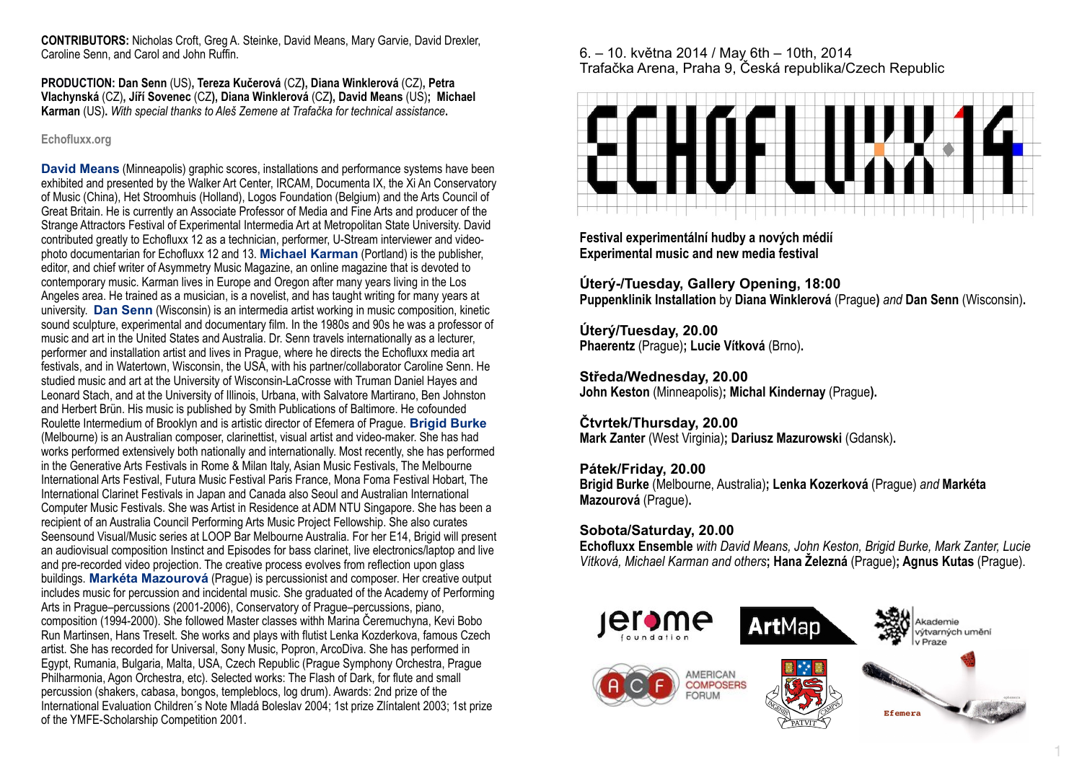**CONTRIBUTORS:** Nicholas Croft, Greg A. Steinke, David Means, Mary Garvie, David Drexler, Caroline Senn, and Carol and John Ruffin.

**PRODUCTION: Dan Senn** (US)**, Tereza Kučerová** (CZ**), Diana Winklerová** (CZ)**, Petra Vlachynská** (CZ)**, Jíří Sovenec** (CZ**), Diana Winklerová** (CZ**), David Means** (US)**; Michael Karman** (US)**.** *With special thanks to Aleš Zemene at Trafačka for technical assistance***.**

### **Echofluxx.org**

**David Means** (Minneapolis) graphic scores, installations and performance systems have been exhibited and presented by the Walker Art Center, IRCAM, Documenta IX, the Xi An Conservatory of Music (China), Het Stroomhuis (Holland), Logos Foundation (Belgium) and the Arts Council of Great Britain. He is currently an Associate Professor of Media and Fine Arts and producer of the Strange Attractors Festival of Experimental Intermedia Art at Metropolitan State University. David contributed greatly to Echofluxx 12 as a technician, performer, U-Stream interviewer and videophoto documentarian for Echofluxx 12 and 13. **Michael Karman** (Portland) is the publisher, editor, and chief writer of Asymmetry Music Magazine, an online magazine that is devoted to contemporary music. Karman lives in Europe and Oregon after many years living in the Los Angeles area. He trained as a musician, is a novelist, and has taught writing for many years at university. **Dan Senn** (Wisconsin) is an intermedia artist working in music composition, kinetic sound sculpture, experimental and documentary film. In the 1980s and 90s he was a professor of music and art in the United States and Australia. Dr. Senn travels internationally as a lecturer, performer and installation artist and lives in Prague, where he directs the Echofluxx media art festivals, and in Watertown, Wisconsin, the USA, with his partner/collaborator Caroline Senn. He studied music and art at the University of Wisconsin-LaCrosse with Truman Daniel Hayes and Leonard Stach, and at the University of Illinois, Urbana, with Salvatore Martirano, Ben Johnston and Herbert Brün. His music is published by Smith Publications of Baltimore. He cofounded Roulette Intermedium of Brooklyn and is artistic director of Efemera of Prague. **Brigid Burke** (Melbourne) is an Australian composer, clarinettist, visual artist and video-maker. She has had works performed extensively both nationally and internationally. Most recently, she has performed in the Generative Arts Festivals in Rome & Milan Italy, Asian Music Festivals, The Melbourne International Arts Festival, Futura Music Festival Paris France, Mona Foma Festival Hobart, The International Clarinet Festivals in Japan and Canada also Seoul and Australian International Computer Music Festivals. She was Artist in Residence at ADM NTU Singapore. She has been a recipient of an Australia Council Performing Arts Music Project Fellowship. She also curates Seensound Visual/Music series at LOOP Bar Melbourne Australia. For her E14, Brigid will present an audiovisual composition Instinct and Episodes for bass clarinet, live electronics/laptop and live and pre-recorded video projection. The creative process evolves from reflection upon glass buildings. **Markéta Mazourová** (Prague) is percussionist and composer. Her creative output includes music for percussion and incidental music. She graduated of the Academy of Performing Arts in Prague–percussions (2001-2006), Conservatory of Prague–percussions, piano, composition (1994-2000). She followed Master classes withh Marina Čeremuchyna, Kevi Bobo Run Martinsen, Hans Treselt. She works and plays with flutist Lenka Kozderkova, famous Czech artist. She has recorded for Universal, Sony Music, Popron, ArcoDiva. She has performed in Egypt, Rumania, Bulgaria, Malta, USA, Czech Republic (Prague Symphony Orchestra, Prague Philharmonia, Agon Orchestra, etc). Selected works: The Flash of Dark, for flute and small percussion (shakers, cabasa, bongos, templeblocs, log drum). Awards: 2nd prize of the International Evaluation Children´s Note Mladá Boleslav 2004; 1st prize Zlíntalent 2003; 1st prize of the YMFE-Scholarship Competition 2001.

## 6. – 10. května 2014 / May 6th – 10th, 2014 Trafačka Arena, Praha 9, Česká republika/Czech Republic



**Festival experimentální hudby a nových médií Experimental music and new media festival**

**Úterý-/Tuesday, Gallery Opening, 18:00 Puppenklinik Installation** by **Diana Winklerová** (Prague**)** *and* **Dan Senn** (Wisconsin)**.** 

**Úterý/Tuesday, 20.00 Phaerentz** (Prague)**; Lucie Vítková** (Brno)**.**

**Středa/Wednesday, 20.00 John Keston** (Minneapolis)**; Michal Kindernay** (Prague**).**

### **Čtvrtek/Thursday, 20.00 Mark Zanter** (West Virginia)**; Dariusz Mazurowski** (Gdansk)**.**

**Pátek/Friday, 20.00 Brigid Burke** (Melbourne, Australia)**; Lenka Kozerková** (Prague) *and* **Markéta Mazourová** (Prague)**.**

# **Sobota/Saturday, 20.00**

**Echofluxx Ensemble** *with David Means, John Keston, Brigid Burke, Mark Zanter, Lucie Vítková, Michael Karman and others***; Hana Železná** (Prague)**; Agnus Kutas** (Prague).



1